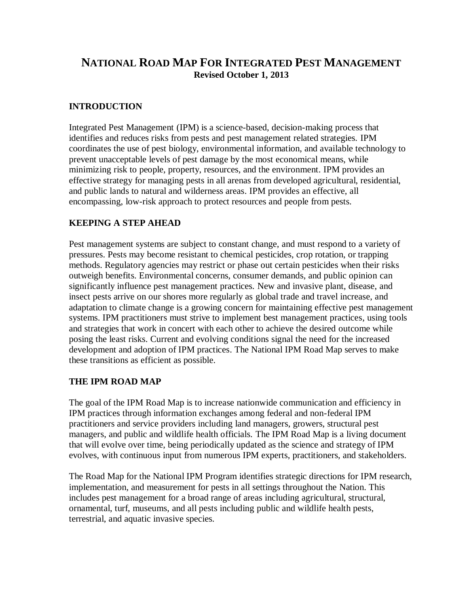# **NATIONAL ROAD MAP FOR INTEGRATED PEST MANAGEMENT Revised October 1, 2013**

### **INTRODUCTION**

Integrated Pest Management (IPM) is a science-based, decision-making process that identifies and reduces risks from pests and pest management related strategies. IPM coordinates the use of pest biology, environmental information, and available technology to prevent unacceptable levels of pest damage by the most economical means, while minimizing risk to people, property, resources, and the environment. IPM provides an effective strategy for managing pests in all arenas from developed agricultural, residential, and public lands to natural and wilderness areas. IPM provides an effective, all encompassing, low-risk approach to protect resources and people from pests.

### **KEEPING A STEP AHEAD**

Pest management systems are subject to constant change, and must respond to a variety of pressures. Pests may become resistant to chemical pesticides, crop rotation, or trapping methods. Regulatory agencies may restrict or phase out certain pesticides when their risks outweigh benefits. Environmental concerns, consumer demands, and public opinion can significantly influence pest management practices. New and invasive plant, disease, and insect pests arrive on our shores more regularly as global trade and travel increase, and adaptation to climate change is a growing concern for maintaining effective pest management systems. IPM practitioners must strive to implement best management practices, using tools and strategies that work in concert with each other to achieve the desired outcome while posing the least risks. Current and evolving conditions signal the need for the increased development and adoption of IPM practices. The National IPM Road Map serves to make these transitions as efficient as possible.

#### **THE IPM ROAD MAP**

The goal of the IPM Road Map is to increase nationwide communication and efficiency in IPM practices through information exchanges among federal and non-federal IPM practitioners and service providers including land managers, growers, structural pest managers, and public and wildlife health officials. The IPM Road Map is a living document that will evolve over time, being periodically updated as the science and strategy of IPM evolves, with continuous input from numerous IPM experts, practitioners, and stakeholders.

The Road Map for the National IPM Program identifies strategic directions for IPM research, implementation, and measurement for pests in all settings throughout the Nation. This includes pest management for a broad range of areas including agricultural, structural, ornamental, turf, museums, and all pests including public and wildlife health pests, terrestrial, and aquatic invasive species.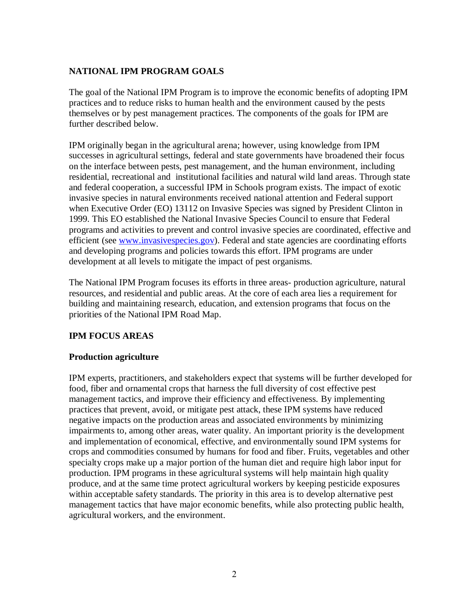# **NATIONAL IPM PROGRAM GOALS**

The goal of the National IPM Program is to improve the economic benefits of adopting IPM practices and to reduce risks to human health and the environment caused by the pests themselves or by pest management practices. The components of the goals for IPM are further described below.

IPM originally began in the agricultural arena; however, using knowledge from IPM successes in agricultural settings, federal and state governments have broadened their focus on the interface between pests, pest management, and the human environment, including residential, recreational and institutional facilities and natural wild land areas. Through state and federal cooperation, a successful IPM in Schools program exists. The impact of exotic invasive species in natural environments received national attention and Federal support when Executive Order (EO) 13112 on Invasive Species was signed by President Clinton in 1999. This EO established the National Invasive Species Council to ensure that Federal programs and activities to prevent and control invasive species are coordinated, effective and efficient (see [www.invasivespecies.gov\)](http://www.invasivespecies.gov/). Federal and state agencies are coordinating efforts and developing programs and policies towards this effort. IPM programs are under development at all levels to mitigate the impact of pest organisms.

The National IPM Program focuses its efforts in three areas- production agriculture, natural resources, and residential and public areas. At the core of each area lies a requirement for building and maintaining research, education, and extension programs that focus on the priorities of the National IPM Road Map.

# **IPM FOCUS AREAS**

#### **Production agriculture**

IPM experts, practitioners, and stakeholders expect that systems will be further developed for food, fiber and ornamental crops that harness the full diversity of cost effective pest management tactics, and improve their efficiency and effectiveness. By implementing practices that prevent, avoid, or mitigate pest attack, these IPM systems have reduced negative impacts on the production areas and associated environments by minimizing impairments to, among other areas, water quality. An important priority is the development and implementation of economical, effective, and environmentally sound IPM systems for crops and commodities consumed by humans for food and fiber. Fruits, vegetables and other specialty crops make up a major portion of the human diet and require high labor input for production. IPM programs in these agricultural systems will help maintain high quality produce, and at the same time protect agricultural workers by keeping pesticide exposures within acceptable safety standards. The priority in this area is to develop alternative pest management tactics that have major economic benefits, while also protecting public health, agricultural workers, and the environment.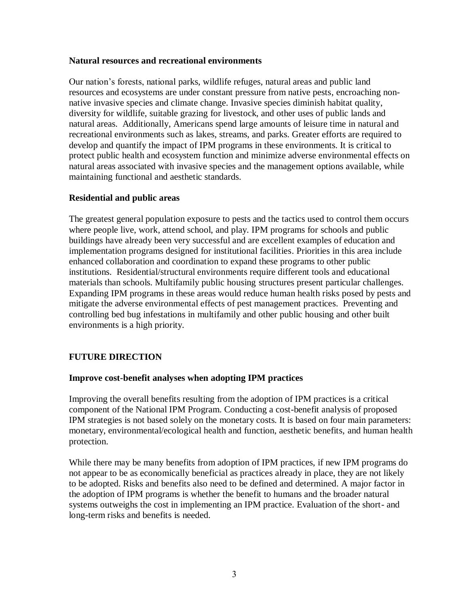#### **Natural resources and recreational environments**

Our nation's forests, national parks, wildlife refuges, natural areas and public land resources and ecosystems are under constant pressure from native pests, encroaching nonnative invasive species and climate change. Invasive species diminish habitat quality, diversity for wildlife, suitable grazing for livestock, and other uses of public lands and natural areas. Additionally, Americans spend large amounts of leisure time in natural and recreational environments such as lakes, streams, and parks. Greater efforts are required to develop and quantify the impact of IPM programs in these environments. It is critical to protect public health and ecosystem function and minimize adverse environmental effects on natural areas associated with invasive species and the management options available, while maintaining functional and aesthetic standards.

#### **Residential and public areas**

The greatest general population exposure to pests and the tactics used to control them occurs where people live, work, attend school, and play. IPM programs for schools and public buildings have already been very successful and are excellent examples of education and implementation programs designed for institutional facilities. Priorities in this area include enhanced collaboration and coordination to expand these programs to other public institutions. Residential/structural environments require different tools and educational materials than schools. Multifamily public housing structures present particular challenges. Expanding IPM programs in these areas would reduce human health risks posed by pests and mitigate the adverse environmental effects of pest management practices. Preventing and controlling bed bug infestations in multifamily and other public housing and other built environments is a high priority.

# **FUTURE DIRECTION**

#### **Improve cost-benefit analyses when adopting IPM practices**

Improving the overall benefits resulting from the adoption of IPM practices is a critical component of the National IPM Program. Conducting a cost-benefit analysis of proposed IPM strategies is not based solely on the monetary costs. It is based on four main parameters: monetary, environmental/ecological health and function, aesthetic benefits, and human health protection.

While there may be many benefits from adoption of IPM practices, if new IPM programs do not appear to be as economically beneficial as practices already in place, they are not likely to be adopted. Risks and benefits also need to be defined and determined. A major factor in the adoption of IPM programs is whether the benefit to humans and the broader natural systems outweighs the cost in implementing an IPM practice. Evaluation of the short- and long-term risks and benefits is needed.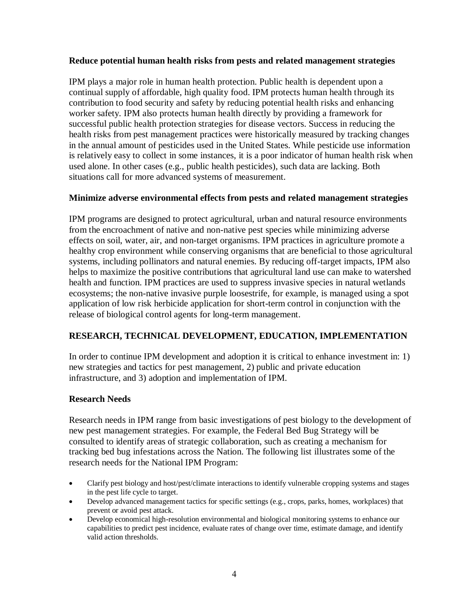### **Reduce potential human health risks from pests and related management strategies**

IPM plays a major role in human health protection. Public health is dependent upon a continual supply of affordable, high quality food. IPM protects human health through its contribution to food security and safety by reducing potential health risks and enhancing worker safety. IPM also protects human health directly by providing a framework for successful public health protection strategies for disease vectors. Success in reducing the health risks from pest management practices were historically measured by tracking changes in the annual amount of pesticides used in the United States. While pesticide use information is relatively easy to collect in some instances, it is a poor indicator of human health risk when used alone. In other cases (e.g., public health pesticides), such data are lacking. Both situations call for more advanced systems of measurement.

# **Minimize adverse environmental effects from pests and related management strategies**

IPM programs are designed to protect agricultural, urban and natural resource environments from the encroachment of native and non-native pest species while minimizing adverse effects on soil, water, air, and non-target organisms. IPM practices in agriculture promote a healthy crop environment while conserving organisms that are beneficial to those agricultural systems, including pollinators and natural enemies. By reducing off-target impacts, IPM also helps to maximize the positive contributions that agricultural land use can make to watershed health and function. IPM practices are used to suppress invasive species in natural wetlands ecosystems; the non-native invasive purple loosestrife, for example, is managed using a spot application of low risk herbicide application for short-term control in conjunction with the release of biological control agents for long-term management.

# **RESEARCH, TECHNICAL DEVELOPMENT, EDUCATION, IMPLEMENTATION**

In order to continue IPM development and adoption it is critical to enhance investment in: 1) new strategies and tactics for pest management, 2) public and private education infrastructure, and 3) adoption and implementation of IPM.

#### **Research Needs**

Research needs in IPM range from basic investigations of pest biology to the development of new pest management strategies. For example, the Federal Bed Bug Strategy will be consulted to identify areas of strategic collaboration, such as creating a mechanism for tracking bed bug infestations across the Nation. The following list illustrates some of the research needs for the National IPM Program:

- Clarify pest biology and host/pest/climate interactions to identify vulnerable cropping systems and stages in the pest life cycle to target.
- Develop advanced management tactics for specific settings (e.g., crops, parks, homes, workplaces) that prevent or avoid pest attack.
- Develop economical high-resolution environmental and biological monitoring systems to enhance our capabilities to predict pest incidence, evaluate rates of change over time, estimate damage, and identify valid action thresholds.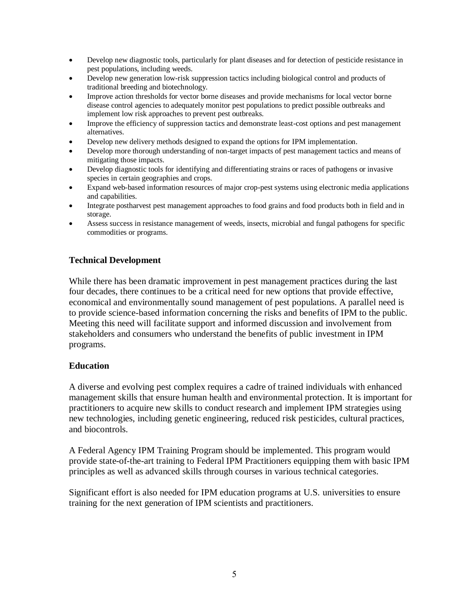- Develop new diagnostic tools, particularly for plant diseases and for detection of pesticide resistance in pest populations, including weeds.
- Develop new generation low-risk suppression tactics including biological control and products of traditional breeding and biotechnology.
- Improve action thresholds for vector borne diseases and provide mechanisms for local vector borne disease control agencies to adequately monitor pest populations to predict possible outbreaks and implement low risk approaches to prevent pest outbreaks.
- Improve the efficiency of suppression tactics and demonstrate least-cost options and pest management alternatives.
- Develop new delivery methods designed to expand the options for IPM implementation.
- Develop more thorough understanding of non-target impacts of pest management tactics and means of mitigating those impacts.
- Develop diagnostic tools for identifying and differentiating strains or races of pathogens or invasive species in certain geographies and crops.
- Expand web-based information resources of major crop-pest systems using electronic media applications and capabilities.
- Integrate postharvest pest management approaches to food grains and food products both in field and in storage.
- Assess success in resistance management of weeds, insects, microbial and fungal pathogens for specific commodities or programs.

#### **Technical Development**

While there has been dramatic improvement in pest management practices during the last four decades, there continues to be a critical need for new options that provide effective, economical and environmentally sound management of pest populations. A parallel need is to provide science-based information concerning the risks and benefits of IPM to the public. Meeting this need will facilitate support and informed discussion and involvement from stakeholders and consumers who understand the benefits of public investment in IPM programs.

#### **Education**

A diverse and evolving pest complex requires a cadre of trained individuals with enhanced management skills that ensure human health and environmental protection. It is important for practitioners to acquire new skills to conduct research and implement IPM strategies using new technologies, including genetic engineering, reduced risk pesticides, cultural practices, and biocontrols.

A Federal Agency IPM Training Program should be implemented. This program would provide state-of-the-art training to Federal IPM Practitioners equipping them with basic IPM principles as well as advanced skills through courses in various technical categories.

Significant effort is also needed for IPM education programs at U.S. universities to ensure training for the next generation of IPM scientists and practitioners.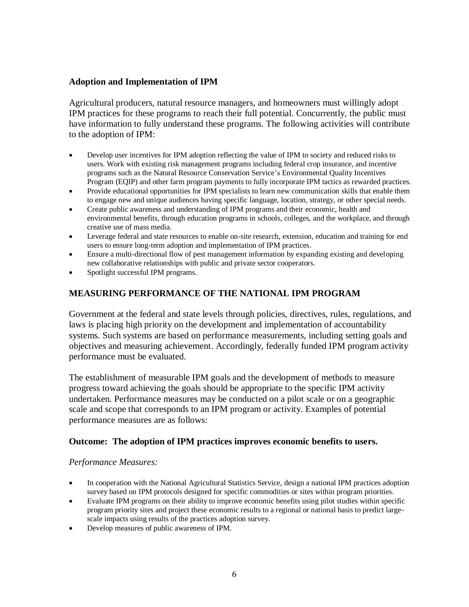### **Adoption and Implementation of IPM**

Agricultural producers, natural resource managers, and homeowners must willingly adopt IPM practices for these programs to reach their full potential. Concurrently, the public must have information to fully understand these programs. The following activities will contribute to the adoption of IPM:

- Develop user incentives for IPM adoption reflecting the value of IPM to society and reduced risks to users. Work with existing risk management programs including federal crop insurance, and incentive programs such as the Natural Resource Conservation Service's Environmental Quality Incentives Program (EQIP) and other farm program payments to fully incorporate IPM tactics as rewarded practices.
- Provide educational opportunities for IPM specialists to learn new communication skills that enable them to engage new and unique audiences having specific language, location, strategy, or other special needs.
- Create public awareness and understanding of IPM programs and their economic, health and environmental benefits, through education programs in schools, colleges, and the workplace, and through creative use of mass media.
- Leverage federal and state resources to enable on-site research, extension, education and training for end users to ensure long-term adoption and implementation of IPM practices.
- Ensure a multi-directional flow of pest management information by expanding existing and developing new collaborative relationships with public and private sector cooperators.
- Spotlight successful IPM programs.

# **MEASURING PERFORMANCE OF THE NATIONAL IPM PROGRAM**

Government at the federal and state levels through policies, directives, rules, regulations, and laws is placing high priority on the development and implementation of accountability systems. Such systems are based on performance measurements, including setting goals and objectives and measuring achievement. Accordingly, federally funded IPM program activity performance must be evaluated.

The establishment of measurable IPM goals and the development of methods to measure progress toward achieving the goals should be appropriate to the specific IPM activity undertaken. Performance measures may be conducted on a pilot scale or on a geographic scale and scope that corresponds to an IPM program or activity. Examples of potential performance measures are as follows:

#### **Outcome: The adoption of IPM practices improves economic benefits to users.**

#### *Performance Measures:*

- In cooperation with the National Agricultural Statistics Service, design a national IPM practices adoption survey based on IPM protocols designed for specific commodities or sites within program priorities.
- Evaluate IPM programs on their ability to improve economic benefits using pilot studies within specific program priority sites and project these economic results to a regional or national basis to predict largescale impacts using results of the practices adoption survey.
- Develop measures of public awareness of IPM.